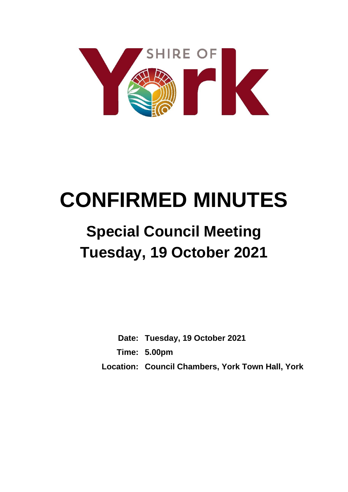

# **CONFIRMED MINUTES**

## **Special Council Meeting Tuesday, 19 October 2021**

**Date: Tuesday, 19 October 2021 Time: 5.00pm Location: Council Chambers, York Town Hall, York**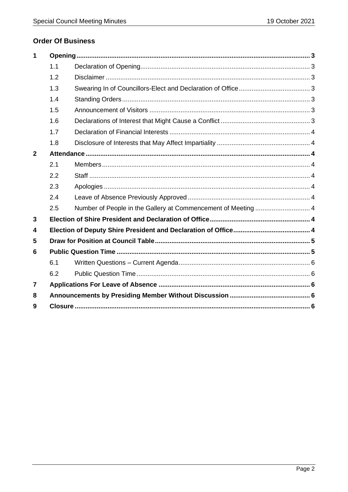## **Order Of Business**

| 1            |     |  |  |
|--------------|-----|--|--|
|              | 1.1 |  |  |
|              | 1.2 |  |  |
|              | 1.3 |  |  |
|              | 1.4 |  |  |
|              | 1.5 |  |  |
|              | 1.6 |  |  |
|              | 1.7 |  |  |
|              | 1.8 |  |  |
| $\mathbf{2}$ |     |  |  |
|              | 2.1 |  |  |
|              | 2.2 |  |  |
|              | 2.3 |  |  |
|              | 2.4 |  |  |
|              | 2.5 |  |  |
| 3            |     |  |  |
| 4            |     |  |  |
| 5            |     |  |  |
| 6            |     |  |  |
|              | 6.1 |  |  |
|              | 6.2 |  |  |
| 7            |     |  |  |
| 8            |     |  |  |
| 9            |     |  |  |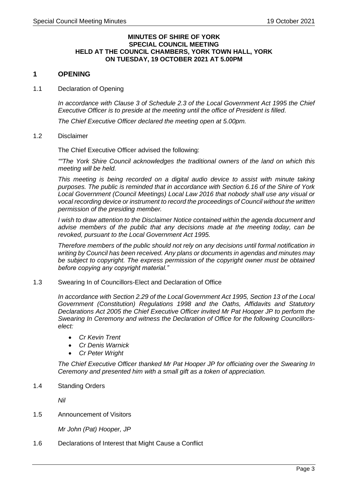#### **MINUTES OF SHIRE OF YORK SPECIAL COUNCIL MEETING HELD AT THE COUNCIL CHAMBERS, YORK TOWN HALL, YORK ON TUESDAY, 19 OCTOBER 2021 AT 5.00PM**

#### <span id="page-2-0"></span>**1 OPENING**

<span id="page-2-1"></span>1.1 Declaration of Opening

*In accordance with Clause 3 of Schedule 2.3 of the Local Government Act 1995 the Chief Executive Officer is to preside at the meeting until the office of President is filled.*

*The Chief Executive Officer declared the meeting open at 5.00pm.*

#### <span id="page-2-2"></span>1.2 Disclaimer

The Chief Executive Officer advised the following:

*""The York Shire Council acknowledges the traditional owners of the land on which this meeting will be held.*

*This meeting is being recorded on a digital audio device to assist with minute taking purposes. The public is reminded that in accordance with Section 6.16 of the Shire of York Local Government (Council Meetings) Local Law 2016 that nobody shall use any visual or vocal recording device or instrument to record the proceedings of Council without the written permission of the presiding member.*

*I wish to draw attention to the Disclaimer Notice contained within the agenda document and advise members of the public that any decisions made at the meeting today, can be revoked, pursuant to the Local Government Act 1995.*

*Therefore members of the public should not rely on any decisions until formal notification in writing by Council has been received. Any plans or documents in agendas and minutes may be subject to copyright. The express permission of the copyright owner must be obtained before copying any copyright material."*

<span id="page-2-3"></span>1.3 Swearing In of Councillors-Elect and Declaration of Office

*In accordance with Section 2.29 of the Local Government Act 1995, Section 13 of the Local Government (Constitution) Regulations 1998 and the Oaths, Affidavits and Statutory Declarations Act 2005 the Chief Executive Officer invited Mr Pat Hooper JP to perform the Swearing In Ceremony and witness the Declaration of Office for the following Councillorselect:*

- *Cr Kevin Trent*
- *Cr Denis Warnick*
- *Cr Peter Wright*

*The Chief Executive Officer thanked Mr Pat Hooper JP for officiating over the Swearing In Ceremony and presented him with a small gift as a token of appreciation.*

#### <span id="page-2-4"></span>1.4 Standing Orders

*Nil*

<span id="page-2-5"></span>1.5 Announcement of Visitors

*Mr John (Pat) Hooper, JP*

<span id="page-2-6"></span>1.6 Declarations of Interest that Might Cause a Conflict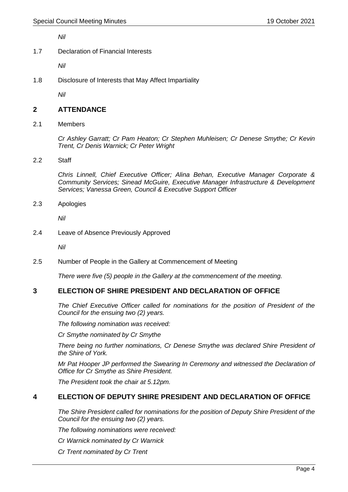*Nil*

<span id="page-3-0"></span>1.7 Declaration of Financial Interests

*Nil*

<span id="page-3-1"></span>1.8 Disclosure of Interests that May Affect Impartiality

*Nil*

#### <span id="page-3-2"></span>**2 ATTENDANCE**

<span id="page-3-3"></span>2.1 Members

*Cr Ashley Garratt; Cr Pam Heaton; Cr Stephen Muhleisen; Cr Denese Smythe; Cr Kevin Trent, Cr Denis Warnick; Cr Peter Wright*

#### <span id="page-3-4"></span>2.2 Staff

*Chris Linnell, Chief Executive Officer; Alina Behan, Executive Manager Corporate & Community Services; Sinead McGuire, Executive Manager Infrastructure & Development Services; Vanessa Green, Council & Executive Support Officer*

<span id="page-3-5"></span>2.3 Apologies

*Nil*

<span id="page-3-6"></span>2.4 Leave of Absence Previously Approved

*Nil*

#### <span id="page-3-7"></span>2.5 Number of People in the Gallery at Commencement of Meeting

*There were five (5) people in the Gallery at the commencement of the meeting.* 

## <span id="page-3-8"></span>**3 ELECTION OF SHIRE PRESIDENT AND DECLARATION OF OFFICE**

*The Chief Executive Officer called for nominations for the position of President of the Council for the ensuing two (2) years.* 

*The following nomination was received:*

*Cr Smythe nominated by Cr Smythe*

*There being no further nominations, Cr Denese Smythe was declared Shire President of the Shire of York.*

*Mr Pat Hooper JP performed the Swearing In Ceremony and witnessed the Declaration of Office for Cr Smythe as Shire President.* 

*The President took the chair at 5.12pm.*

## <span id="page-3-9"></span>**4 ELECTION OF DEPUTY SHIRE PRESIDENT AND DECLARATION OF OFFICE**

*The Shire President called for nominations for the position of Deputy Shire President of the Council for the ensuing two (2) years.* 

*The following nominations were received:*

*Cr Warnick nominated by Cr Warnick*

*Cr Trent nominated by Cr Trent*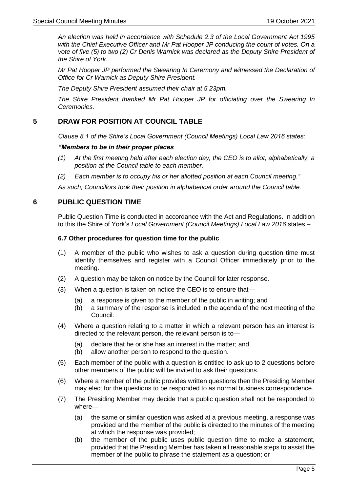*An election was held in accordance with Schedule 2.3 of the Local Government Act 1995 with the Chief Executive Officer and Mr Pat Hooper JP conducing the count of votes. On a vote of five (5) to two (2) Cr Denis Warnick was declared as the Deputy Shire President of the Shire of York.*

*Mr Pat Hooper JP performed the Swearing In Ceremony and witnessed the Declaration of Office for Cr Warnick as Deputy Shire President.* 

*The Deputy Shire President assumed their chair at 5.23pm.*

*The Shire President thanked Mr Pat Hooper JP for officiating over the Swearing In Ceremonies.*

## <span id="page-4-0"></span>**5 DRAW FOR POSITION AT COUNCIL TABLE**

*Clause 8.1 of the Shire's Local Government (Council Meetings) Local Law 2016 states:*

#### *"Members to be in their proper places*

- *(1) At the first meeting held after each election day, the CEO is to allot, alphabetically, a position at the Council table to each member.*
- *(2) Each member is to occupy his or her allotted position at each Council meeting."*

*As such, Councillors took their position in alphabetical order around the Council table.*

#### <span id="page-4-1"></span>**6 PUBLIC QUESTION TIME**

Public Question Time is conducted in accordance with the Act and Regulations. In addition to this the Shire of York's *Local Government (Council Meetings) Local Law 2016* states –

#### **6.7 Other procedures for question time for the public**

- (1) A member of the public who wishes to ask a question during question time must identify themselves and register with a Council Officer immediately prior to the meeting.
- (2) A question may be taken on notice by the Council for later response.
- (3) When a question is taken on notice the CEO is to ensure that—
	- (a) a response is given to the member of the public in writing; and
	- (b) a summary of the response is included in the agenda of the next meeting of the Council.
- (4) Where a question relating to a matter in which a relevant person has an interest is directed to the relevant person, the relevant person is to—
	- (a) declare that he or she has an interest in the matter; and
	- (b) allow another person to respond to the question.
- (5) Each member of the public with a question is entitled to ask up to 2 questions before other members of the public will be invited to ask their questions.
- (6) Where a member of the public provides written questions then the Presiding Member may elect for the questions to be responded to as normal business correspondence.
- (7) The Presiding Member may decide that a public question shall not be responded to where—
	- (a) the same or similar question was asked at a previous meeting, a response was provided and the member of the public is directed to the minutes of the meeting at which the response was provided;
	- (b) the member of the public uses public question time to make a statement, provided that the Presiding Member has taken all reasonable steps to assist the member of the public to phrase the statement as a question; or